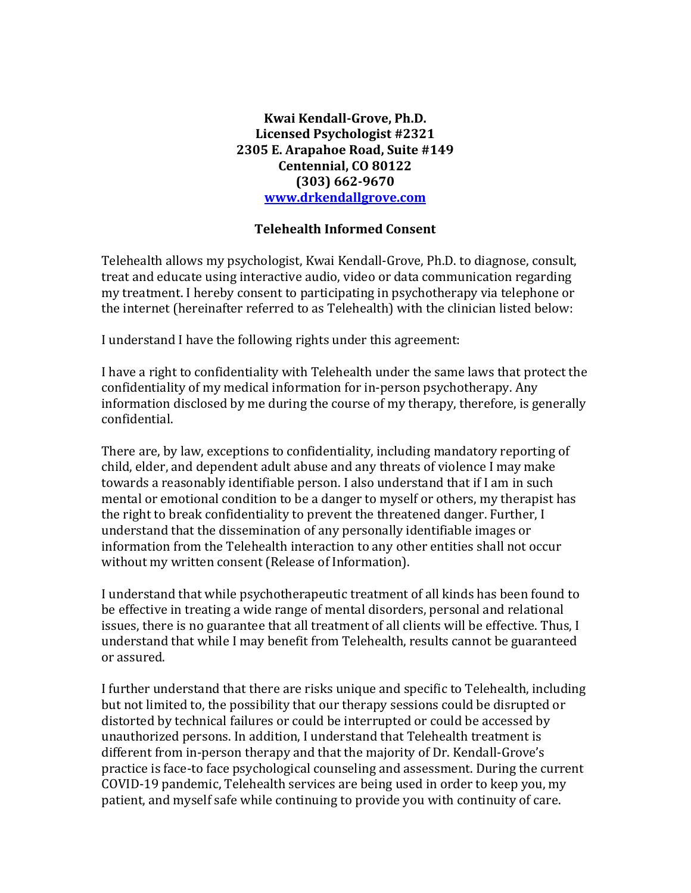## **Kwai Kendall-Grove, Ph.D. Licensed Psychologist #2321 2305 E. Arapahoe Road, Suite #149 Centennial, CO 80122 (303) 662-9670 [www.drkendallgrove.com](http://www.drkendallgrove.com/)**

## **Telehealth Informed Consent**

Telehealth allows my psychologist, Kwai Kendall-Grove, Ph.D. to diagnose, consult, treat and educate using interactive audio, video or data communication regarding my treatment. I hereby consent to participating in psychotherapy via telephone or the internet (hereinafter referred to as Telehealth) with the clinician listed below:

I understand I have the following rights under this agreement:

I have a right to confidentiality with Telehealth under the same laws that protect the confidentiality of my medical information for in-person psychotherapy. Any information disclosed by me during the course of my therapy, therefore, is generally confidential.

There are, by law, exceptions to confidentiality, including mandatory reporting of child, elder, and dependent adult abuse and any threats of violence I may make towards a reasonably identifiable person. I also understand that if I am in such mental or emotional condition to be a danger to myself or others, my therapist has the right to break confidentiality to prevent the threatened danger. Further, I understand that the dissemination of any personally identifiable images or information from the Telehealth interaction to any other entities shall not occur without my written consent (Release of Information).

I understand that while psychotherapeutic treatment of all kinds has been found to be effective in treating a wide range of mental disorders, personal and relational issues, there is no guarantee that all treatment of all clients will be effective. Thus, I understand that while I may benefit from Telehealth, results cannot be guaranteed or assured.

I further understand that there are risks unique and specific to Telehealth, including but not limited to, the possibility that our therapy sessions could be disrupted or distorted by technical failures or could be interrupted or could be accessed by unauthorized persons. In addition, I understand that Telehealth treatment is different from in-person therapy and that the majority of Dr. Kendall-Grove's practice is face-to face psychological counseling and assessment. During the current COVID-19 pandemic, Telehealth services are being used in order to keep you, my patient, and myself safe while continuing to provide you with continuity of care.